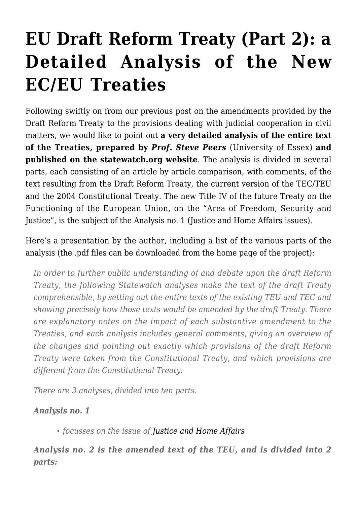## **[EU Draft Reform Treaty \(Part 2\): a](https://conflictoflaws.net/2007/eu-draft-reform-treaty-part-2-a-detailed-analysis-of-the-new-eceu-treaties/) [Detailed Analysis of the New](https://conflictoflaws.net/2007/eu-draft-reform-treaty-part-2-a-detailed-analysis-of-the-new-eceu-treaties/) [EC/EU Treaties](https://conflictoflaws.net/2007/eu-draft-reform-treaty-part-2-a-detailed-analysis-of-the-new-eceu-treaties/)**

Following swiftly on from our [previous post](https://conflictoflaws.de/2007/jurisdiction/eu/eu-draft-reform-treaty-changes-to-the-provisions-on-judicial-cooperation-in-civil-matters/) on the amendments provided by the Draft Reform Treaty to the provisions dealing with judicial cooperation in civil matters, we would like to point out **a [very detailed analysis](http://www.statewatch.org/news/2007/aug/eu-reform-treaty-texts-analyses.htm) of the entire text of the Treaties, prepared by** *[Prof. Steve Peers](http://www2.essex.ac.uk/law/about%20us/people/academics/peers.html)* (University of Essex) **and published on the [statewatch.org](http://www.statewatch.org/) website**. The analysis is divided in several parts, each consisting of an article by article comparison, with comments, of the text resulting from the Draft Reform Treaty, the current version of the TEC/TEU and the 2004 Constitutional Treaty. The new Title IV of the future Treaty on the Functioning of the European Union, on the "Area of Freedom, Security and Justice", is the subject of the [Analysis no. 1](http://www.statewatch.org/news/2007/aug/eu-reform-treaty-jha-analysis-1.pdf) (Justice and Home Affairs issues).

Here's a presentation by the author, including a list of the various parts of the analysis (the .pdf files can be downloaded from the [home page](http://www.statewatch.org/news/2007/aug/eu-reform-treaty-texts-analyses.htm) of the project):

*In order to further public understanding of and debate upon the draft Reform Treaty, the following Statewatch analyses make the text of the draft Treaty comprehensible, by setting out the entire texts of the existing TEU and TEC and showing precisely how those texts would be amended by the draft Treaty. There are explanatory notes on the impact of each substantive amendment to the Treaties, and each analysis includes general comments, giving an overview of the changes and pointing out exactly which provisions of the draft Reform Treaty were taken from the Constitutional Treaty, and which provisions are different from the Constitutional Treaty.*

*There are 3 analyses, divided into ten parts.*

*Analysis no. 1*

*focusses on the issue of [Justice and Home Affairs](http://www.statewatch.org/news/2007/aug/eu-reform-treaty-jha-analysis-1.pdf)*

*Analysis no. 2 is the amended text of the TEU, and is divided into 2 parts:*